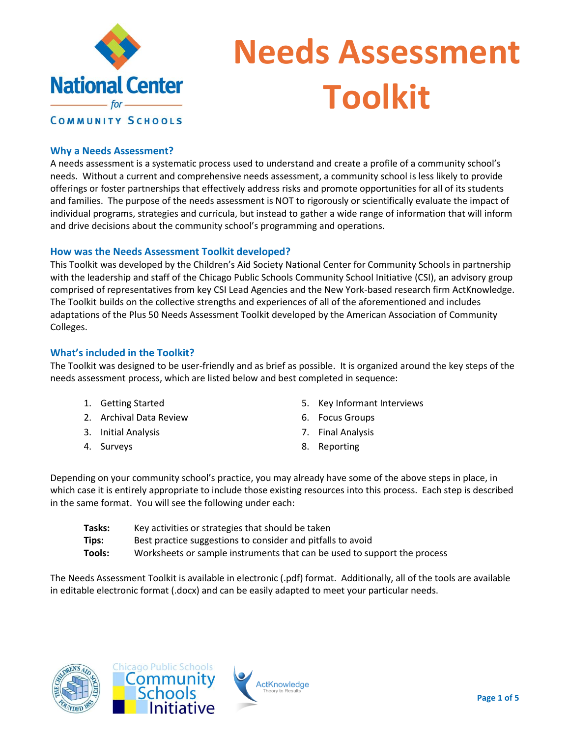

# **Needs Assessment Toolkit**

#### **Why a Needs Assessment?**

A needs assessment is a systematic process used to understand and create a profile of a community school's needs. Without a current and comprehensive needs assessment, a community school is less likely to provide offerings or foster partnerships that effectively address risks and promote opportunities for all of its students and families. The purpose of the needs assessment is NOT to rigorously or scientifically evaluate the impact of individual programs, strategies and curricula, but instead to gather a wide range of information that will inform and drive decisions about the community school's programming and operations.

#### **How was the Needs Assessment Toolkit developed?**

This Toolkit was developed by the Children's Aid Society National Center for Community Schools in partnership with the leadership and staff of the Chicago Public Schools Community School Initiative (CSI), an advisory group comprised of representatives from key CSI Lead Agencies and the New York-based research firm ActKnowledge. The Toolkit builds on the collective strengths and experiences of all of the aforementioned and includes adaptations of the Plus 50 Needs Assessment Toolkit developed by the American Association of Community Colleges.

#### **What's included in the Toolkit?**

The Toolkit was designed to be user-friendly and as brief as possible. It is organized around the key steps of the needs assessment process, which are listed below and best completed in sequence:

- 1. Getting Started
- 2. Archival Data Review
- 3. Initial Analysis
- 4. Surveys
- 5. Key Informant Interviews
- 6. Focus Groups
- 7. Final Analysis
- 8. Reporting

Depending on your community school's practice, you may already have some of the above steps in place, in which case it is entirely appropriate to include those existing resources into this process. Each step is described in the same format. You will see the following under each:

| Tasks: | Key activities or strategies that should be taken                        |
|--------|--------------------------------------------------------------------------|
| Tips:  | Best practice suggestions to consider and pitfalls to avoid              |
| Tools: | Worksheets or sample instruments that can be used to support the process |

The Needs Assessment Toolkit is available in electronic (.pdf) format. Additionally, all of the tools are available in editable electronic format (.docx) and can be easily adapted to meet your particular needs.





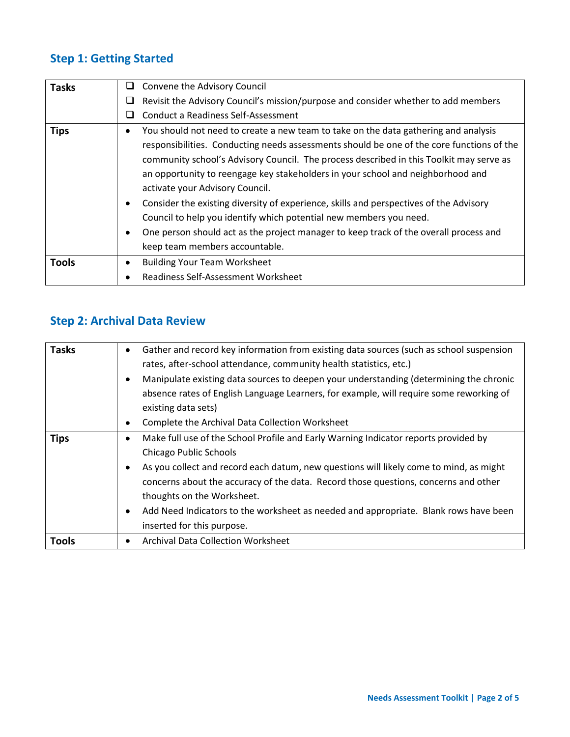## **Step 1: Getting Started**

| <b>Tasks</b> | Convene the Advisory Council<br>⊔                                                         |
|--------------|-------------------------------------------------------------------------------------------|
|              | Revisit the Advisory Council's mission/purpose and consider whether to add members<br>⊔   |
|              | Conduct a Readiness Self-Assessment<br>ப                                                  |
| <b>Tips</b>  | You should not need to create a new team to take on the data gathering and analysis       |
|              | responsibilities. Conducting needs assessments should be one of the core functions of the |
|              | community school's Advisory Council. The process described in this Toolkit may serve as   |
|              | an opportunity to reengage key stakeholders in your school and neighborhood and           |
|              | activate your Advisory Council.                                                           |
|              | Consider the existing diversity of experience, skills and perspectives of the Advisory    |
|              | Council to help you identify which potential new members you need.                        |
|              | One person should act as the project manager to keep track of the overall process and     |
|              | keep team members accountable.                                                            |
| <b>Tools</b> | <b>Building Your Team Worksheet</b>                                                       |
|              | Readiness Self-Assessment Worksheet                                                       |

#### **Step 2: Archival Data Review**

| <b>Tasks</b> | Gather and record key information from existing data sources (such as school suspension<br>٠ |
|--------------|----------------------------------------------------------------------------------------------|
|              | rates, after-school attendance, community health statistics, etc.)                           |
|              | Manipulate existing data sources to deepen your understanding (determining the chronic       |
|              | absence rates of English Language Learners, for example, will require some reworking of      |
|              | existing data sets)                                                                          |
|              | Complete the Archival Data Collection Worksheet<br>٠                                         |
| <b>Tips</b>  | Make full use of the School Profile and Early Warning Indicator reports provided by<br>٠     |
|              | Chicago Public Schools                                                                       |
|              | As you collect and record each datum, new questions will likely come to mind, as might       |
|              | concerns about the accuracy of the data. Record those questions, concerns and other          |
|              | thoughts on the Worksheet.                                                                   |
|              | Add Need Indicators to the worksheet as needed and appropriate. Blank rows have been         |
|              | inserted for this purpose.                                                                   |
| <b>Tools</b> | <b>Archival Data Collection Worksheet</b><br>٠                                               |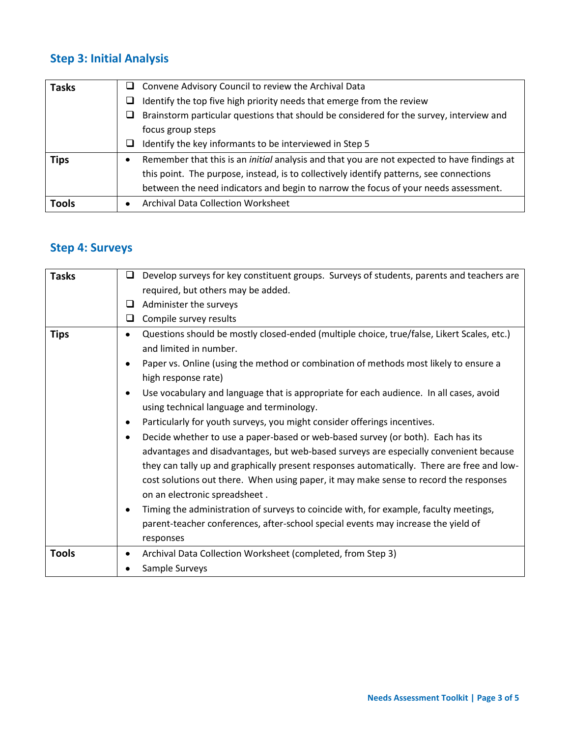## **Step 3: Initial Analysis**

| <b>Tasks</b> | $\Box$ Convene Advisory Council to review the Archival Data                                        |
|--------------|----------------------------------------------------------------------------------------------------|
|              | Identify the top five high priority needs that emerge from the review<br>ப                         |
|              | Brainstorm particular questions that should be considered for the survey, interview and<br>ப       |
|              | focus group steps                                                                                  |
|              | Identify the key informants to be interviewed in Step 5<br>⊔                                       |
| <b>Tips</b>  | Remember that this is an <i>initial</i> analysis and that you are not expected to have findings at |
|              | this point. The purpose, instead, is to collectively identify patterns, see connections            |
|              | between the need indicators and begin to narrow the focus of your needs assessment.                |
| <b>Tools</b> | <b>Archival Data Collection Worksheet</b>                                                          |

#### **Step 4: Surveys**

| <b>Tasks</b> | Develop surveys for key constituent groups. Surveys of students, parents and teachers are<br>□  |
|--------------|-------------------------------------------------------------------------------------------------|
|              | required, but others may be added.                                                              |
|              | Administer the surveys<br>⊔                                                                     |
|              | Compile survey results<br>u                                                                     |
| <b>Tips</b>  | Questions should be mostly closed-ended (multiple choice, true/false, Likert Scales, etc.)<br>٠ |
|              | and limited in number.                                                                          |
|              | Paper vs. Online (using the method or combination of methods most likely to ensure a            |
|              | high response rate)                                                                             |
|              | Use vocabulary and language that is appropriate for each audience. In all cases, avoid          |
|              | using technical language and terminology.                                                       |
|              | Particularly for youth surveys, you might consider offerings incentives.                        |
|              | Decide whether to use a paper-based or web-based survey (or both). Each has its<br>٠            |
|              | advantages and disadvantages, but web-based surveys are especially convenient because           |
|              | they can tally up and graphically present responses automatically. There are free and low-      |
|              | cost solutions out there. When using paper, it may make sense to record the responses           |
|              | on an electronic spreadsheet.                                                                   |
|              | Timing the administration of surveys to coincide with, for example, faculty meetings,           |
|              | parent-teacher conferences, after-school special events may increase the yield of               |
|              | responses                                                                                       |
| <b>Tools</b> | Archival Data Collection Worksheet (completed, from Step 3)<br>٠                                |
|              | Sample Surveys                                                                                  |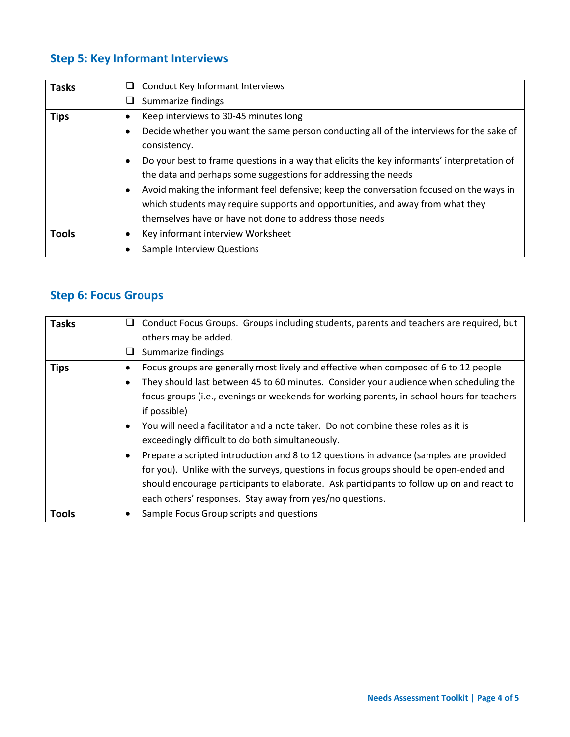## **Step 5: Key Informant Interviews**

| <b>Tasks</b> | Conduct Key Informant Interviews<br>⊔                                                       |
|--------------|---------------------------------------------------------------------------------------------|
|              | Summarize findings                                                                          |
| <b>Tips</b>  | Keep interviews to 30-45 minutes long                                                       |
|              | Decide whether you want the same person conducting all of the interviews for the sake of    |
|              | consistency.                                                                                |
|              | Do your best to frame questions in a way that elicits the key informants' interpretation of |
|              | the data and perhaps some suggestions for addressing the needs                              |
|              | Avoid making the informant feel defensive; keep the conversation focused on the ways in     |
|              | which students may require supports and opportunities, and away from what they              |
|              | themselves have or have not done to address those needs                                     |
| <b>Tools</b> | Key informant interview Worksheet                                                           |
|              | <b>Sample Interview Questions</b>                                                           |

#### **Step 6: Focus Groups**

| <b>Tasks</b> | Conduct Focus Groups. Groups including students, parents and teachers are required, but<br>u |
|--------------|----------------------------------------------------------------------------------------------|
|              | others may be added.                                                                         |
|              | Summarize findings<br>⊔                                                                      |
| <b>Tips</b>  | Focus groups are generally most lively and effective when composed of 6 to 12 people         |
|              | They should last between 45 to 60 minutes. Consider your audience when scheduling the        |
|              | focus groups (i.e., evenings or weekends for working parents, in-school hours for teachers   |
|              | if possible)                                                                                 |
|              | You will need a facilitator and a note taker. Do not combine these roles as it is            |
|              | exceedingly difficult to do both simultaneously.                                             |
|              | Prepare a scripted introduction and 8 to 12 questions in advance (samples are provided       |
|              | for you). Unlike with the surveys, questions in focus groups should be open-ended and        |
|              | should encourage participants to elaborate. Ask participants to follow up on and react to    |
|              | each others' responses. Stay away from yes/no questions.                                     |
| <b>Tools</b> | Sample Focus Group scripts and questions                                                     |